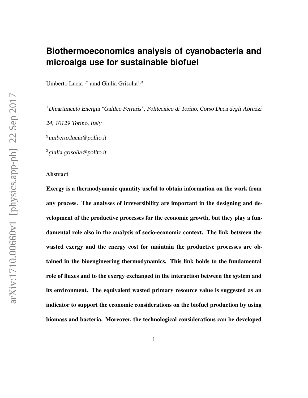## **Biothermoeconomics analysis of cyanobacteria and microalga use for sustainable biofuel**

Umberto Lucia<sup>1,2</sup> amd Giulia Grisolia<sup>1,3</sup>

<sup>1</sup> Dipartimento Energia "Galileo Ferraris", Politecnico di Torino, Corso Duca degli Abruzzi

24, 10129 Torino, Italy

 $2$ umberto.lucia@polito.it

<sup>3</sup>giulia.grisolia@polito.it

#### Abstract

Exergy is a thermodynamic quantity useful to obtain information on the work from any process. The analyses of irreversibility are important in the designing and development of the productive processes for the economic growth, but they play a fundamental role also in the analysis of socio-economic context. The link between the wasted exergy and the energy cost for maintain the productive processes are obtained in the bioengineering thermodynamics. This link holds to the fundamental role of fluxes and to the exergy exchanged in the interaction between the system and its environment. The equivalent wasted primary resource value is suggested as an indicator to support the economic considerations on the biofuel production by using biomass and bacteria. Moreover, the technological considerations can be developed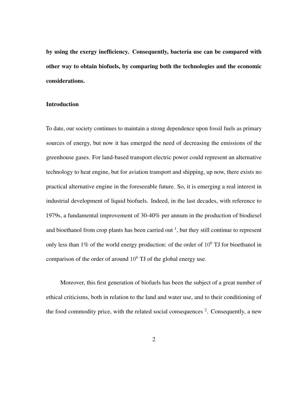by using the exergy inefficiency. Consequently, bacteria use can be compared with other way to obtain biofuels, by comparing both the technologies and the economic considerations.

#### Introduction

To date, our society continues to maintain a strong dependence upon fossil fuels as primary sources of energy, but now it has emerged the need of decreasing the emissions of the greenhouse gases. For land-based transport electric power could represent an alternative technology to heat engine, but for aviation transport and shipping, up now, there exists no practical alternative engine in the foreseeable future. So, it is emerging a real interest in industrial development of liquid biofuels. Indeed, in the last decades, with reference to 1979s, a fundamental improvement of 30-40% per annum in the production of biodiesel and bioethanol from crop plants has been carried out  $<sup>1</sup>$ , but they still continue to represent</sup> only less than 1% of the world energy production: of the order of  $10<sup>6</sup>$  TJ for bioethanol in comparison of the order of around  $10^8$  TJ of the global energy use.

Moreover, this first generation of biofuels has been the subject of a great number of ethical criticisms, both in relation to the land and water use, and to their conditioning of the food commodity price, with the related social consequences  $2$ . Consequently, a new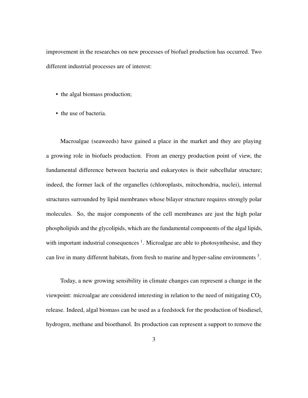improvement in the researches on new processes of biofuel production has occurred. Two different industrial processes are of interest:

- the algal biomass production;
- the use of bacteria.

Macroalgae (seaweeds) have gained a place in the market and they are playing a growing role in biofuels production. From an energy production point of view, the fundamental difference between bacteria and eukaryotes is their subcellular structure; indeed, the former lack of the organelles (chloroplasts, mitochondria, nuclei), internal structures surrounded by lipid membranes whose bilayer structure requires strongly polar molecules. So, the major components of the cell membranes are just the high polar phospholipids and the glycolipids, which are the fundamental components of the algal lipids, with important industrial consequences  $<sup>1</sup>$ . Microalgae are able to photosynthesise, and they</sup> can live in many different habitats, from fresh to marine and hyper-saline environments<sup>3</sup>.

Today, a new growing sensibility in climate changes can represent a change in the viewpoint: microalgae are considered interesting in relation to the need of mitigating  $CO<sub>2</sub>$ release. Indeed, algal biomass can be used as a feedstock for the production of biodiesel, hydrogen, methane and bioethanol. Its production can represent a support to remove the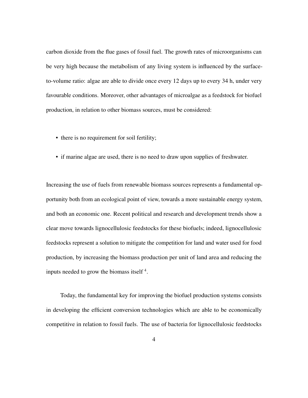carbon dioxide from the flue gases of fossil fuel. The growth rates of microorganisms can be very high because the metabolism of any living system is influenced by the surfaceto-volume ratio: algae are able to divide once every 12 days up to every 34 h, under very favourable conditions. Moreover, other advantages of microalgae as a feedstock for biofuel production, in relation to other biomass sources, must be considered:

- there is no requirement for soil fertility;
- if marine algae are used, there is no need to draw upon supplies of freshwater.

Increasing the use of fuels from renewable biomass sources represents a fundamental opportunity both from an ecological point of view, towards a more sustainable energy system, and both an economic one. Recent political and research and development trends show a clear move towards lignocellulosic feedstocks for these biofuels; indeed, lignocellulosic feedstocks represent a solution to mitigate the competition for land and water used for food production, by increasing the biomass production per unit of land area and reducing the inputs needed to grow the biomass itself<sup>4</sup>.

Today, the fundamental key for improving the biofuel production systems consists in developing the efficient conversion technologies which are able to be economically competitive in relation to fossil fuels. The use of bacteria for lignocellulosic feedstocks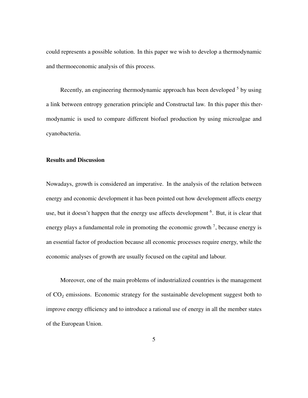could represents a possible solution. In this paper we wish to develop a thermodynamic and thermoeconomic analysis of this process.

Recently, an engineering thermodynamic approach has been developed <sup>5</sup> by using a link between entropy generation principle and Constructal law. In this paper this thermodynamic is used to compare different biofuel production by using microalgae and cyanobacteria.

#### Results and Discussion

Nowadays, growth is considered an imperative. In the analysis of the relation between energy and economic development it has been pointed out how development affects energy use, but it doesn't happen that the energy use affects development <sup>6</sup>. But, it is clear that energy plays a fundamental role in promoting the economic growth  $<sup>7</sup>$ , because energy is</sup> an essential factor of production because all economic processes require energy, while the economic analyses of growth are usually focused on the capital and labour.

Moreover, one of the main problems of industrialized countries is the management of  $CO<sub>2</sub>$  emissions. Economic strategy for the sustainable development suggest both to improve energy efficiency and to introduce a rational use of energy in all the member states of the European Union.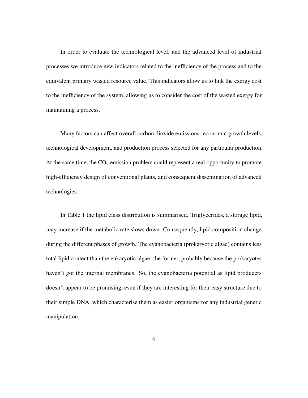In order to evaluate the technological level, and the advanced level of industrial processes we introduce new indicators related to the inefficiency of the process and to the equivalent primary wasted resource value. This indicators allow us to link the exergy cost to the inefficiency of the system, allowing us to consider the cost of the wasted exergy for maintaining a process.

Many factors can affect overall carbon dioxide emissions: economic growth levels, technological development, and production process selected for any particular production. At the same time, the  $CO<sub>2</sub>$  emission problem could represent a real opportunity to promote high-efficiency design of conventional plants, and consequent dissemination of advanced technologies.

In Table 1 the lipid class distribution is summarised. Triglycerides, a storage lipid, may increase if the metabolic rate slows down. Consequently, lipid composition change during the different phases of growth. The cyanobacteria (prokaryotic algae) contains less total lipid content than the eukaryotic algae. the former, probably because the prokaryotes haven't got the internal membranes. So, the cyanobacteria potential as lipid producers doesn't appear to be promising, even if they are interesting for their easy structure due to their simple DNA, which characterise them as easier organisms for any industrial genetic manipulation.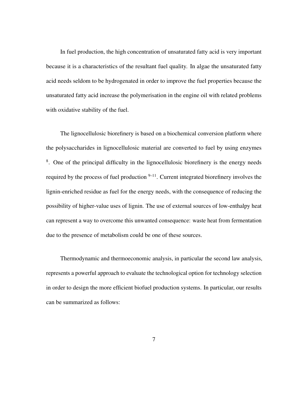In fuel production, the high concentration of unsaturated fatty acid is very important because it is a characteristics of the resultant fuel quality. In algae the unsaturated fatty acid needs seldom to be hydrogenated in order to improve the fuel properties because the unsaturated fatty acid increase the polymerisation in the engine oil with related problems with oxidative stability of the fuel.

The lignocellulosic biorefinery is based on a biochemical conversion platform where the polysaccharides in lignocellulosic material are converted to fuel by using enzymes <sup>8</sup>. One of the principal difficulty in the lignocellulosic biorefinery is the energy needs required by the process of fuel production  $9-11$ . Current integrated biorefinery involves the lignin-enriched residue as fuel for the energy needs, with the consequence of reducing the possibility of higher-value uses of lignin. The use of external sources of low-enthalpy heat can represent a way to overcome this unwanted consequence: waste heat from fermentation due to the presence of metabolism could be one of these sources.

Thermodynamic and thermoeconomic analysis, in particular the second law analysis, represents a powerful approach to evaluate the technological option for technology selection in order to design the more efficient biofuel production systems. In particular, our results can be summarized as follows: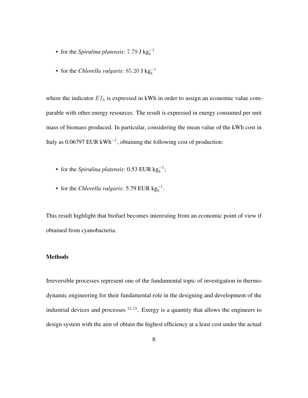- for the *Spirulina platensis*:  $7.79 \text{ J kg}_b^{-1}$
- for the *Chlorella vulgaris*: 85.20 J kg<sub>b</sub><sup>-1</sup>

where the indicator  $EI_{\lambda}$  is expressed in kWh in order to assign an economic value comparable with other energy resources. The result is expressed in energy consumed per unit mass of biomass produced. In particular, considering the mean value of the kWh cost in Italy as  $0.06797$  EUR kWh<sup>-1</sup>, obtaining the following cost of production:

- for the *Spirulina platensis*: 0.53 EUR  $kg_b^{-1}$ ;
- for the *Chlorella vulgaris*: 5.79 EUR  $kg_b^{-1}$ .

This result highlight that biofuel becomes interesting from an economic point of view if obtained from cyanobacteria.

### Methods

Irreversible processes represent one of the fundamental topic of investigation in thermodynamic engineering for their fundamental role in the designing and development of the industrial devices and processes  $12,13$ . Exergy is a quantity that allows the engineers to design system with the aim of obtain the highest efficiency at a least cost under the actual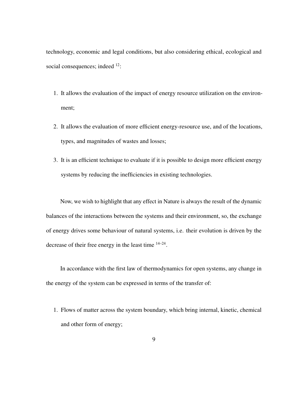technology, economic and legal conditions, but also considering ethical, ecological and social consequences; indeed <sup>12</sup>:

- 1. It allows the evaluation of the impact of energy resource utilization on the environment;
- 2. It allows the evaluation of more efficient energy-resource use, and of the locations, types, and magnitudes of wastes and losses;
- 3. It is an efficient technique to evaluate if it is possible to design more efficient energy systems by reducing the inefficiencies in existing technologies.

Now, we wish to highlight that any effect in Nature is always the result of the dynamic balances of the interactions between the systems and their environment, so, the exchange of energy drives some behaviour of natural systems, i.e. their evolution is driven by the decrease of their free energy in the least time  $14-24$ .

In accordance with the first law of thermodynamics for open systems, any change in the energy of the system can be expressed in terms of the transfer of:

1. Flows of matter across the system boundary, which bring internal, kinetic, chemical and other form of energy;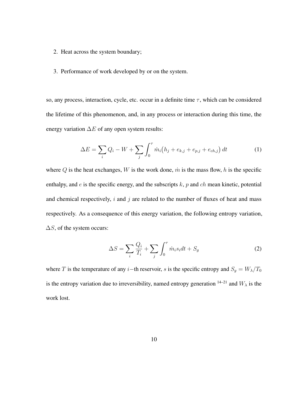- 2. Heat across the system boundary;
- 3. Performance of work developed by or on the system.

so, any process, interaction, cycle, etc. occur in a definite time  $\tau$ , which can be considered the lifetime of this phenomenon, and, in any process or interaction during this time, the energy variation  $\Delta E$  of any open system results:

$$
\Delta E = \sum_{i} Q_i - W + \sum_{j} \int_0^{\tau} \dot{m}_i (h_j + e_{k,j} + e_{p,j} + e_{ch,j}) dt \tag{1}
$$

where  $Q$  is the heat exchanges,  $W$  is the work done,  $\dot{m}$  is the mass flow,  $h$  is the specific enthalpy, and  $e$  is the specific energy, and the subscripts  $k$ ,  $p$  and  $ch$  mean kinetic, potential and chemical respectively,  $i$  and  $j$  are related to the number of fluxes of heat and mass respectively. As a consequence of this energy variation, the following entropy variation,  $\Delta S$ , of the system occurs:

$$
\Delta S = \sum_{i} \frac{Q_i}{T_i} + \sum_{j} \int_0^{\tau} \dot{m}_i s_i dt + S_g \tag{2}
$$

where T is the temperature of any i–th reservoir, s is the specific entropy and  $S_g = W_\lambda/T_0$ is the entropy variation due to irreversibility, named entropy generation  $14-21$  and  $W_{\lambda}$  is the work lost.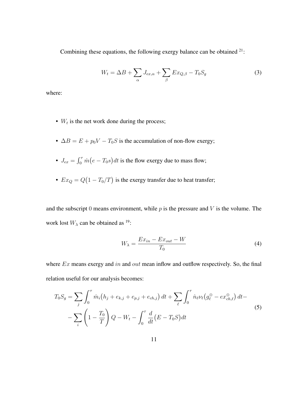Combining these equations, the following exergy balance can be obtained <sup>21</sup>:

$$
W_t = \Delta B + \sum_{\alpha} J_{ex,\alpha} + \sum_{\beta} Ex_{Q,\beta} - T_0 S_g \tag{3}
$$

where:

- $W_t$  is the net work done during the process;
- $\Delta B = E + p_0 V T_0 S$  is the accumulation of non-flow exergy;
- $J_{ex} = \int_0^{\tau} \dot{m} (e T_0 s) dt$  is the flow exergy due to mass flow;
- $Ex_Q = Q(1 T_0/T)$  is the exergy transfer due to heat transfer;

and the subscript 0 means environment, while  $p$  is the pressure and  $V$  is the volume. The work lost  $W_{\lambda}$  can be obtained as <sup>19</sup>:

$$
W_{\lambda} = \frac{Ex_{in} - Ex_{out} - W}{T_0} \tag{4}
$$

where  $Ex$  means exergy and in and out mean inflow and outflow respectively. So, the final relation useful for our analysis becomes:

$$
T_0 S_g = \sum_j \int_0^{\tau} \dot{m}_i (h_j + e_{k,j} + e_{p,j} + e_{ch,j}) dt + \sum_{\ell} \int_0^{\tau} \dot{n}_{\ell} \nu_{\ell} (g_{\ell}^{\oplus} - e x_{ch,\ell}^{\oplus}) dt - \sum_i \left( 1 - \frac{T_0}{T} \right) Q - W_t - \int_0^{\tau} \frac{d}{dt} (E - T_0 S) dt
$$
\n(5)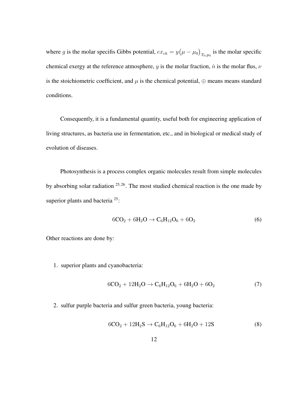where g is the molar specifis Gibbs potential,  $ex_{ch} = y(\mu - \mu_0)_{T_0, p_0}$  is the molar specific chemical exergy at the reference atmosphere, y is the molar fraction,  $\dot{n}$  is the molar flus,  $\nu$ is the stoichiometric coefficient, and  $\mu$  is the chemical potential,  $\oplus$  means means standard conditions.

Consequently, it is a fundamental quantity, useful both for engineering application of living structures, as bacteria use in fermentation, etc., and in biological or medical study of evolution of diseases.

Photosynthesis is a process complex organic molecules result from simple molecules by absorbing solar radiation  $25, 26$ . The most studied chemical reaction is the one made by superior plants and bacteria<sup>25</sup>:

$$
6CO2 + 6H2O \to C6H12O6 + 6O2
$$
 (6)

Other reactions are done by:

1. superior plants and cyanobacteria:

$$
6CO2 + 12H2O \to C6H12O6 + 6H2O + 6O2
$$
 (7)

2. sulfur purple bacteria and sulfur green bacteria, young bacteria:

$$
6CO2 + 12H2S \rightarrow C6H12O6 + 6H2O + 12S
$$
 (8)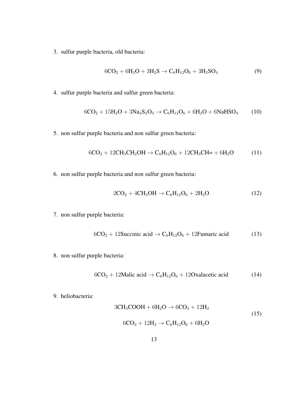3. sulfur purple bacteria, old bacteria:

$$
6CO_2 + 6H_2O + 3H_2S \to C_6H_{12}O_6 + 3H_2SO_4
$$
\n(9)

4. sulfur purple bacteria and sulfur green bacteria:

$$
6CO2 + 15H2O + 3Na2S2O3 \rightarrow C6H12O6 + 6H2O + 6NaHSO4
$$
 (10)

5. non sulfur purple bacteria and non sulfur green bacteria:

$$
6CO2 + 12CH3CH2OH \rightarrow C6H12O6 + 12CH3CH = + 6H2O
$$
 (11)

6. non sulfur purple bacteria and non sulfur green bacteria:

$$
2CO2 + 4CH3OH \rightarrow C6H12O6 + 2H2O
$$
 (12)

7. non sulfur purple bacteria:

$$
6CO2 + 12
$$
Succinic acid  $\rightarrow$  C<sub>6</sub>H<sub>12</sub>O<sub>6</sub> + 12Fumaric acid (13)

8. non sulfur purple bacteria:

$$
6CO2 + 12Malic acid \rightarrow C6H12O6 + 12Oxalacetic acid
$$
 (14)

9. heliobacteria:

$$
3CH3COOH + 6H2O \rightarrow 6CO2 + 12H2
$$
  
6CO<sub>2</sub> + 12H<sub>2</sub>  $\rightarrow$  C<sub>6</sub>H<sub>12</sub>O<sub>6</sub> + 6H<sub>2</sub>O (15)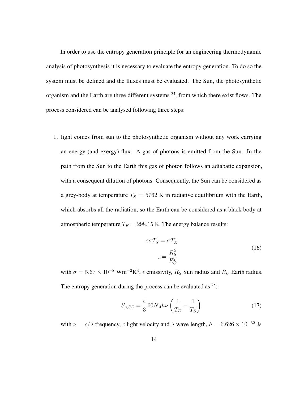In order to use the entropy generation principle for an engineering thermodynamic analysis of photosynthesis it is necessary to evaluate the entropy generation. To do so the system must be defined and the fluxes must be evaluated. The Sun, the photosynthetic organism and the Earth are three different systems <sup>25</sup>, from which there exist flows. The process considered can be analysed following three steps:

1. light comes from sun to the photosynthetic organism without any work carrying an energy (and exergy) flux. A gas of photons is emitted from the Sun. In the path from the Sun to the Earth this gas of photon follows an adiabatic expansion, with a consequent dilution of photons. Consequently, the Sun can be considered as a grey-body at temperature  $T_S = 5762$  K in radiative equilibrium with the Earth, which absorbs all the radiation, so the Earth can be considered as a black body at atmospheric temperature  $T_E = 298.15$  K. The energy balance results:

$$
\varepsilon \sigma T_S^4 = \sigma T_E^4
$$
  
\n
$$
\varepsilon = \frac{R_S^2}{R_O^2}
$$
\n(16)

with  $\sigma = 5.67 \times 10^{-8}$  Wm<sup>-2</sup>K<sup>4</sup>,  $\epsilon$  emissivity,  $R_S$  Sun radius and  $R_O$  Earth radius. The entropy generation during the process can be evaluated as  $25$ .

$$
S_{g,SE} = \frac{4}{3} 60 N_A h \nu \left( \frac{1}{T_E} - \frac{1}{T_S} \right)
$$
 (17)

with  $\nu = c/\lambda$  frequency, c light velocity and  $\lambda$  wave length,  $h = 6.626 \times 10^{-32}$  Js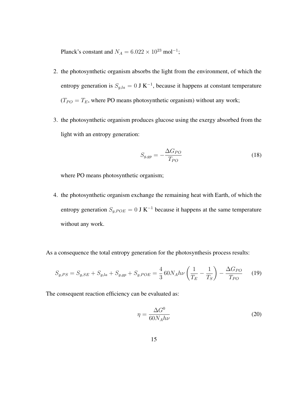Planck's constant and  $N_A = 6.022 \times 10^{23}$  mol<sup>-1</sup>;

- 2. the photosynthetic organism absorbs the light from the environment, of which the entropy generation is  $S_{g,la} = 0$  J K<sup>-1</sup>, because it happens at constant temperature  $(T_{PO} = T_E$ , where PO means photosynthetic organism) without any work;
- 3. the photosynthetic organism produces glucose using the exergy absorbed from the light with an entropy generation:

$$
S_{g,gp} = -\frac{\Delta G_{PO}}{T_{PO}}\tag{18}
$$

where PO means photosynthetic organism;

4. the photosynthetic organism exchange the remaining heat with Earth, of which the entropy generation  $S_{g,POE} = 0$  J K<sup>-1</sup> because it happens at the same temperature without any work.

As a consequence the total entropy generation for the photosynthesis process results:

$$
S_{g,PS} = S_{g,SE} + S_{g,la} + S_{g,gp} + S_{g,POE} = \frac{4}{3} 60 N_A h \nu \left(\frac{1}{T_E} - \frac{1}{T_S}\right) - \frac{\Delta G_{PO}}{T_{PO}} \tag{19}
$$

The consequent reaction efficiency can be evaluated as:

$$
\eta = \frac{\Delta G^0}{60N_A h\nu} \tag{20}
$$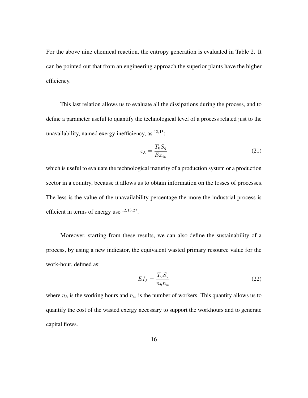For the above nine chemical reaction, the entropy generation is evaluated in Table 2. It can be pointed out that from an engineering approach the superior plants have the higher efficiency.

This last relation allows us to evaluate all the dissipations during the process, and to define a parameter useful to quantify the technological level of a process related just to the unavailability, named exergy inefficiency, as  $12, 13$ :

$$
\varepsilon_{\lambda} = \frac{T_0 S_g}{E x_{in}} \tag{21}
$$

which is useful to evaluate the technological maturity of a production system or a production sector in a country, because it allows us to obtain information on the losses of processes. The less is the value of the unavailability percentage the more the industrial process is efficient in terms of energy use  $12, 13, 27$ .

Moreover, starting from these results, we can also define the sustainability of a process, by using a new indicator, the equivalent wasted primary resource value for the work-hour, defined as:

$$
EI_{\lambda} = \frac{T_0 S_g}{n_h n_w} \tag{22}
$$

where  $n_h$  is the working hours and  $n_w$  is the number of workers. This quantity allows us to quantify the cost of the wasted exergy necessary to support the workhours and to generate capital flows.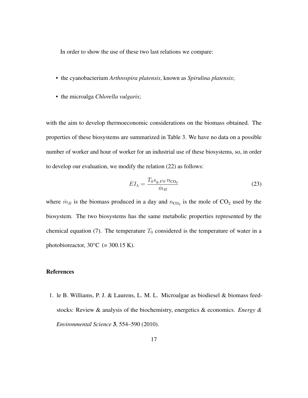In order to show the use of these two last relations we compare:

- the cyanobacterium *Arthrospira platensis*, known as *Spirulina platensis*;
- the microalga *Chlorella vulgaris*;

with the aim to develop thermoeconomic considerations on the biomass obtained. The properties of these biosystems are summarized in Table 3. We have no data on a possible number of worker and hour of worker for an industrial use of these biosystems, so, in order to develop our evaluation, we modify the relation (22) as follows:

$$
EI_{\lambda} = \frac{T_0 s_{g,PS} n_{\text{CO}_2}}{\dot{m}_B} \tag{23}
$$

where  $\dot{m}_B$  is the biomass produced in a day and  $n_{\text{CO}_2}$  is the mole of  $\text{CO}_2$  used by the biosystem. The two biosystems has the same metabolic properties represented by the chemical equation (7). The temperature  $T_0$  considered is the temperature of water in a photobioreactor,  $30^{\circ}$ C (= 300.15 K).

#### References

1. le B. Williams, P. J. & Laurens, L. M. L. Microalgae as biodiesel & biomass feedstocks: Review & analysis of the biochemistry, energetics & economics. *Energy & Environmental Science* 3, 554–590 (2010).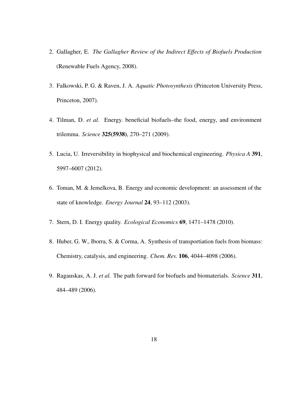- 2. Gallagher, E. *The Gallagher Review of the Indirect Effects of Biofuels Production* (Renewable Fuels Agency, 2008).
- 3. Falkowski, P. G. & Raven, J. A. *Aquatic Photosynthesis* (Princeton University Press, Princeton, 2007).
- 4. Tilman, D. *et al.* Energy. beneficial biofuels–the food, energy, and environment trilemma. *Science* 325(5938), 270–271 (2009).
- 5. Lucia, U. Irreversibility in biophysical and biochemical engineering. *Physica A* 391, 5997–6007 (2012).
- 6. Toman, M. & Jemelkova, B. Energy and economic development: an assessment of the state of knowledge. *Energy Journal* 24, 93–112 (2003).
- 7. Stern, D. I. Energy quality. *Ecological Economics* 69, 1471–1478 (2010).
- 8. Huber, G. W., Iborra, S. & Corma, A. Synthesis of transportiation fuels from biomass: Chemistry, catalysis, and engineering. *Chem. Rev.* 106, 4044–4098 (2006).
- 9. Ragauskas, A. J. *et al.* The path forward for biofuels and biomaterials. *Science* 311, 484–489 (2006).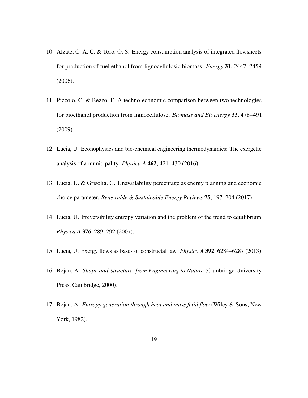- 10. Alzate, C. A. C. & Toro, O. S. Energy consumption analysis of integrated flowsheets for production of fuel ethanol from lignocellulosic biomass. *Energy* 31, 2447–2459 (2006).
- 11. Piccolo, C. & Bezzo, F. A techno-economic comparison between two technologies for bioethanol production from lignocellulose. *Biomass and Bioenergy* 33, 478–491 (2009).
- 12. Lucia, U. Econophysics and bio-chemical engineering thermodynamics: The exergetic analysis of a municipality. *Physica A* 462, 421–430 (2016).
- 13. Lucia, U. & Grisolia, G. Unavailability percentage as energy planning and economic choice parameter. *Renewable & Sustainable Energy Reviews* 75, 197–204 (2017).
- 14. Lucia, U. Irreversibility entropy variation and the problem of the trend to equilibrium. *Physica A* 376, 289–292 (2007).
- 15. Lucia, U. Exergy flows as bases of constructal law. *Physica A* 392, 6284–6287 (2013).
- 16. Bejan, A. *Shape and Structure, from Engineering to Nature* (Cambridge University Press, Cambridge, 2000).
- 17. Bejan, A. *Entropy generation through heat and mass fluid flow* (Wiley & Sons, New York, 1982).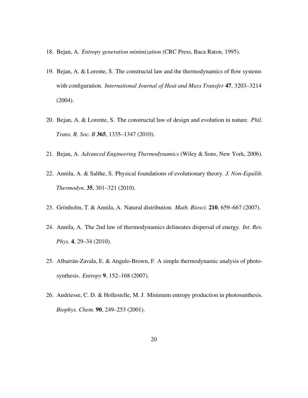- 18. Bejan, A. *Entropy generation minimization* (CRC Press, Baca Raton, 1995).
- 19. Bejan, A. & Lorente, S. The constructal law and the thermodynamics of flow systems with configuration. *International Journal of Heat and Mass Transfer* 47, 3203–3214 (2004).
- 20. Bejan, A. & Lorente, S. The constructal law of design and evolution in nature. *Phil. Trans. R. Soc. B* 365, 1335–1347 (2010).
- 21. Bejan, A. *Advanced Engineering Thermodynamics* (Wiley & Sons, New York, 2006).
- 22. Annila, A. & Salthe, S. Physical foundations of evolutionary theory. *J. Non-Equilib. Thermodyn.* 35, 301–321 (2010).
- 23. Grönholm, T. & Annila, A. Natural distribution. *Math. Biosci.* **210**, 659–667 (2007).
- 24. Annila, A. The 2nd law of thermodynamics delineates dispersal of energy. *Int. Rev. Phys.* 4, 29–34 (2010).
- 25. Albarrán-Zavala, E. & Angulo-Brown, F. A simple thermodynamic analysis of photosynthesis. *Entropy* 9, 152–168 (2007).
- 26. Andriesse, C. D. & Hollestelle, M. J. Minimum entropy production in photosunthesis. *Biophys. Chem.* 90, 249–253 (2001).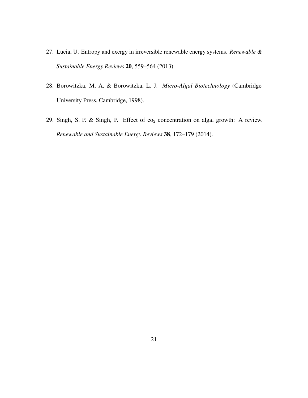- 27. Lucia, U. Entropy and exergy in irreversible renewable energy systems. *Renewable & Sustainable Energy Reviews* 20, 559–564 (2013).
- 28. Borowitzka, M. A. & Borowitzka, L. J. *Micro-Algal Biotechnology* (Cambridge University Press, Cambridge, 1998).
- 29. Singh, S. P. & Singh, P. Effect of  $co<sub>2</sub>$  concentration on algal growth: A review. *Renewable and Sustainable Energy Reviews* 38, 172–179 (2014).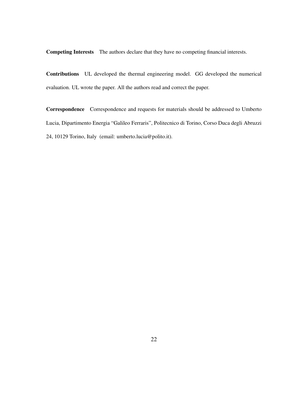Competing Interests The authors declare that they have no competing financial interests.

Contributions UL developed the thermal engineering model. GG developed the numerical evaluation. UL wrote the paper. All the authors read and correct the paper.

Correspondence Correspondence and requests for materials should be addressed to Umberto Lucia, Dipartimento Energia "Galileo Ferraris", Politecnico di Torino, Corso Duca degli Abruzzi 24, 10129 Torino, Italy (email: umberto.lucia@polito.it).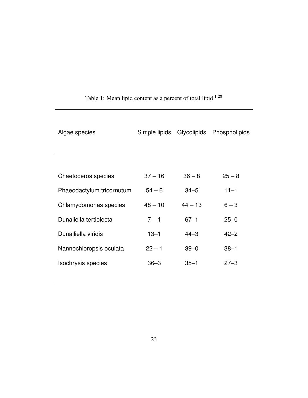| Algae species             | Simple lipids |           | Glycolipids Phospholipids |
|---------------------------|---------------|-----------|---------------------------|
|                           |               |           |                           |
| Chaetoceros species       | $37 - 16$     | $36 - 8$  | $25 - 8$                  |
| Phaeodactylum tricornutum | $54 - 6$      | $34 - 5$  | $11 - 1$                  |
| Chlamydomonas species     | $48 - 10$     | $44 - 13$ | $6 - 3$                   |
| Dunaliella tertiolecta    | $7 - 1$       | $67 - 1$  | $25 - 0$                  |
| Dunalliella viridis       | $13 - 1$      | $44 - 3$  | $42 - 2$                  |
| Nannochloropsis oculata   | $22 - 1$      | $39 - 0$  | $38 - 1$                  |
| Isochrysis species        | $36 - 3$      | $35 - 1$  | $27 - 3$                  |
|                           |               |           |                           |

# Table 1: Mean lipid content as a percent of total lipid  $1,28$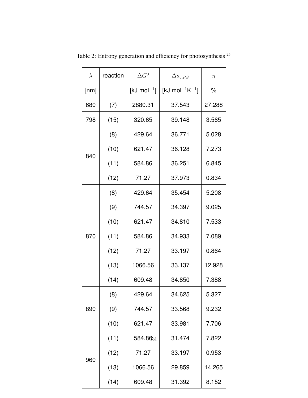|  | $\lambda$ | reaction | $\Delta G^0$      | $\Delta s_{g,PS}$                | $\eta$ |
|--|-----------|----------|-------------------|----------------------------------|--------|
|  | [nm]      |          | [kJ mol $^{-1}$ ] | [kJ mol <sup>-1</sup> $K^{-1}$ ] | $\%$   |
|  | 680       | (7)      | 2880.31           | 37.543                           | 27.288 |
|  | 798       | (15)     | 320.65            | 39.148                           | 3.565  |
|  | 840       | (8)      | 429.64            | 36.771                           | 5.028  |
|  |           | (10)     | 621.47            | 36.128                           | 7.273  |
|  |           | (11)     | 584.86            | 36.251                           | 6.845  |
|  |           | (12)     | 71.27             | 37.973                           | 0.834  |
|  | 870       | (8)      | 429.64            | 35.454                           | 5.208  |
|  |           | (9)      | 744.57            | 34.397                           | 9.025  |
|  |           | (10)     | 621.47            | 34.810                           | 7.533  |
|  |           | (11)     | 584.86            | 34.933                           | 7.089  |
|  |           | (12)     | 71.27             | 33.197                           | 0.864  |
|  |           | (13)     | 1066.56           | 33.137                           | 12.928 |
|  |           | (14)     | 609.48            | 34.850                           | 7.388  |
|  | 890       | (8)      | 429.64            | 34.625                           | 5.327  |
|  |           | (9)      | 744.57            | 33.568                           | 9.232  |
|  |           | (10)     | 621.47            | 33.981                           | 7.706  |
|  | 960       | (11)     | 584.8624          | 31.474                           | 7.822  |
|  |           | (12)     | 71.27             | 33.197                           | 0.953  |
|  |           | (13)     | 1066.56           | 29.859                           | 14.265 |
|  |           | (14)     | 609.48            | 31.392                           | 8.152  |

Table 2: Entropy generation and efficiency for photosynthesis <sup>25</sup>